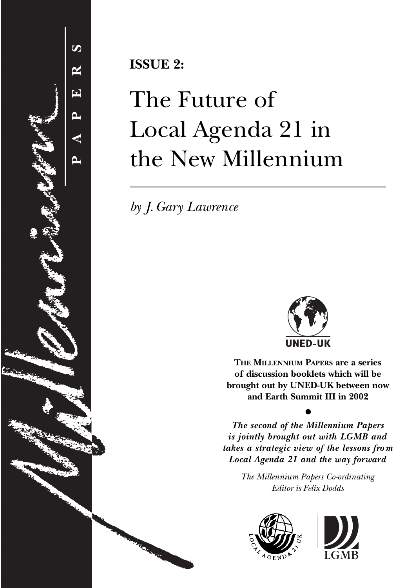

**ISSUE 2:**

# The Future of Local Agenda 21 in the New Millennium

*by J. Gary Lawrence*



**THE MILLENNIUM PAPERS are a series of discussion booklets which will be brought out by UNED-UK between now and Earth Summit III in 2002**

*The second of the Millennium Papers is jointly brought out with LGMB and takes a strategic view of the lessons fro m Local Agenda 21 and the way forward*

●

*The Millennium Papers Co-ordinating Editor is Felix Dodds*



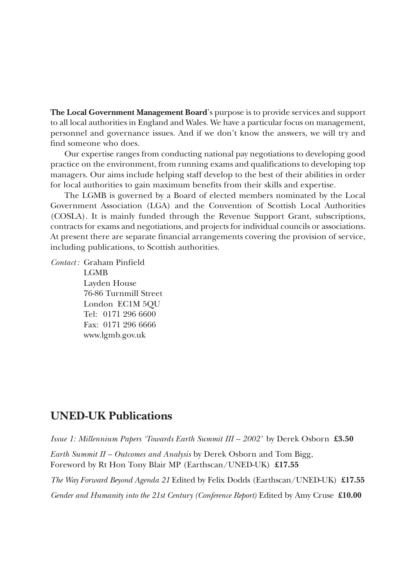**The Local Government Management Board**'s purpose is to provide services and support to all local authorities in England and Wales. We have a particular focus on management, personnel and governance issues. And if we don't know the answers, we will try and find someone who does.

Our expertise ranges from conducting national pay negotiations to developing good practice on the environment, from running exams and qualifications to developing top managers. Our aims include helping staff develop to the best of their abilities in order for local authorities to gain maximum benefits from their skills and expertise.

The LGMB is governed by a Board of elected members nominated by the Local Government Association (LGA) and the Convention of Scottish Local Authorities (COSLA). It is mainly funded through the Revenue Support Grant, subscriptions, contracts for exams and negotiations, and projects for individual councils or associations. At present there are separate financial arrangements covering the provision of service, including publications, to Scottish authorities.

*Contact :* Graham Pinfield

LGMB Layden House 76-86 Turnmill Street London EC1M 5QU Tel: 0171 296 6600 Fax: 0171 296 6666 www.lgmb.gov.uk

# **UNED-UK Publications**

*Issue 1: Millennium Papers 'Towards Earth Summit III – 2002'* by Derek Osborn **£3.50**

*Earth Summit II – Outcomes and Analysis* by Derek Osborn and Tom Bigg, Foreword by Rt Hon Tony Blair MP (Earthscan/UNED-UK) **£17.55**

*The Way Forward Beyond Agenda 21* Edited by Felix Dodds (Earthscan/UNED-UK) **£17.55**

*Gender and Humanity into the 21st Century (Conference Report)* Edited by Amy Cruse **£10.00**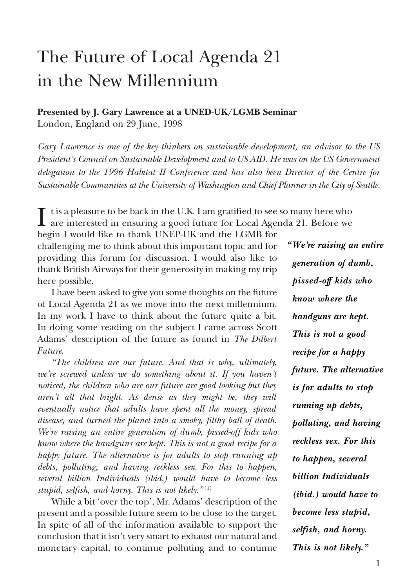## **Presented by J. Gary Lawrence at a UNED-UK/LGMB Seminar** London, England on 29 June, 1998

*Gary Lawrence is one of the key thinkers on sustainable development, an advisor to the US President's Council on Sustainable Development and to US AID. He was on the US Government delegation to the 1996 Habitat II Conference and has also been Director of the Centre for Sustainable Communities at the University of Washington and Chief Planner in the City of Seattle.*

It is a pleasure to be back in the U.K. I am gratified to see so many here who<br>are interested in ensuring a good future for Local Agenda 21. Before we<br>have a latter to the detection in ENE LW and the LGMB for

begin I would like to thank UNEP-UK and the LGMB for challenging me to think about this important topic and for providing this forum for discussion. I would also like to thank British Airways for their generosity in making my trip here possible.

I have been asked to give you some thoughts on the future of Local Agenda 21 as we move into the next millennium. In my work I have to think about the future quite a bit. In doing some reading on the subject I came across Scott Adams' description of the future as found in *The Dilbert Future*.

*"The children are our future. And that is why, ultimately, we're screwed unless we do something about it. If you haven't noticed, the children who are our future are good looking but they aren't all that bright. As dense as they might be, they will eventually notice that adults have spent all the money, spread disease, and turned the planet into a smoky, filthy ball of death. We're raising an entire generation of dumb, pissed-off kids who know where the handguns are kept. This is not a good recipe for a happy future. The alternative is for adults to stop running up debts, polluting, and having reckless sex. For this to happen, several billion Individuals (ibid.) would have to become less stupid, selfish, and horny. This is not likely."* (1)

While a bit 'over the top', Mr. Adams' description of the present and a possible future seem to be close to the target. In spite of all of the information available to support the conclusion that it isn't very smart to exhaust our natural and monetary capital, to continue polluting and to continue *"We're raising an entire generation of dumb, pissed-off kids who know where the handguns are kept. This is not a good recipe for a happy future. The alternative is for adults to stop running up debts, polluting, and having reckless sex. For this to happen, several billion Individuals (ibid.) would have to become less stupid, selfish, and horny. This is not likely."*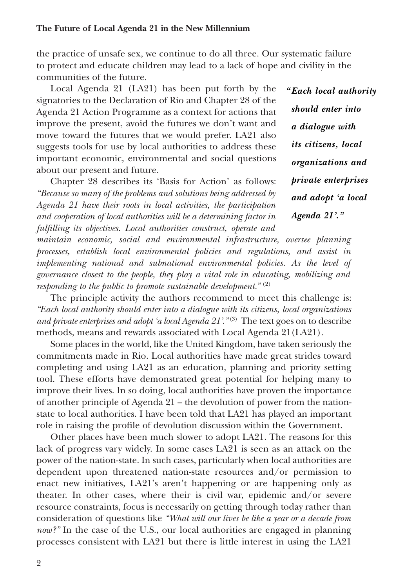the practice of unsafe sex, we continue to do all three. Our systematic failure to protect and educate children may lead to a lack of hope and civility in the communities of the future.

Local Agenda 21 (LA21) has been put forth by the signatories to the Declaration of Rio and Chapter 28 of the Agenda 21 Action Programme as a context for actions that improve the present, avoid the futures we don't want and move toward the futures that we would prefer. LA21 also suggests tools for use by local authorities to address these important economic, environmental and social questions about our present and future.

Chapter 28 describes its 'Basis for Action' as follows: *"Because so many of the problems and solutions being addressed by Agenda 21 have their roots in local activities, the participation and cooperation of local authorities will be a determining factor in fulfilling its objectives. Local authorities construct, operate and*

*"Each local authority should enter into a dialogue with its citizens, local organizations and private enterprises and adopt 'a local Agenda 21'."*

*maintain economic, social and environmental infrastructure, oversee planning processes, establish local environmental policies and regulations, and assist in implementing national and subnational environmental policies. As the level of governance closest to the people, they play a vital role in educating, mobilizing and responding to the public to promote sustainable development."* (2)

The principle activity the authors recommend to meet this challenge is: *"Each local authority should enter into a dialogue with its citizens, local organizations* and private enterprises and adopt 'a local Agenda 21'.<sup>"(3)</sup> The text goes on to describe methods, means and rewards associated with Local Agenda 21(LA21).

Some places in the world, like the United Kingdom, have taken seriously the commitments made in Rio. Local authorities have made great strides toward completing and using LA21 as an education, planning and priority setting tool. These efforts have demonstrated great potential for helping many to improve their lives. In so doing, local authorities have proven the importance of another principle of Agenda 21 – the devolution of power from the nationstate to local authorities. I have been told that LA21 has played an important role in raising the profile of devolution discussion within the Government.

Other places have been much slower to adopt LA21. The reasons for this lack of progress vary widely. In some cases LA21 is seen as an attack on the power of the nation-state. In such cases, particularly when local authorities are dependent upon threatened nation-state resources and/or permission to enact new initiatives, LA21's aren't happening or are happening only as theater. In other cases, where their is civil war, epidemic and/or severe resource constraints, focus is necessarily on getting through today rather than consideration of questions like *"What will our lives be like a year or a decade from now?"* In the case of the U.S., our local authorities are engaged in planning processes consistent with LA21 but there is little interest in using the LA21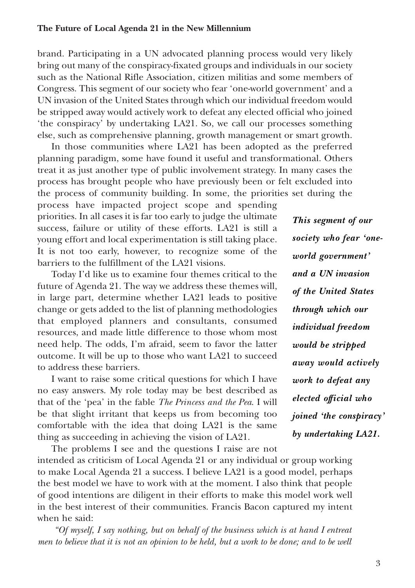brand. Participating in a UN advocated planning process would very likely bring out many of the conspiracy-fixated groups and individuals in our society such as the National Rifle Association, citizen militias and some members of Congress. This segment of our society who fear 'one-world government' and a UN invasion of the United States through which our individual freedom would be stripped away would actively work to defeat any elected official who joined 'the conspiracy' by undertaking LA21. So, we call our processes something else, such as comprehensive planning, growth management or smart growth.

In those communities where LA21 has been adopted as the preferred planning paradigm, some have found it useful and transformational. Others treat it as just another type of public involvement strategy. In many cases the process has brought people who have previously been or felt excluded into the process of community building. In some, the priorities set during the process have impacted project scope and spending

priorities. In all cases it is far too early to judge the ultimate success, failure or utility of these efforts. LA21 is still a young effort and local experimentation is still taking place. It is not too early, however, to recognize some of the barriers to the fulfillment of the LA21 visions.

Today I'd like us to examine four themes critical to the future of Agenda 21. The way we address these themes will, in large part, determine whether LA21 leads to positive change or gets added to the list of planning methodologies that employed planners and consultants, consumed resources, and made little difference to those whom most need help. The odds, I'm afraid, seem to favor the latter outcome. It will be up to those who want LA21 to succeed to address these barriers.

I want to raise some critical questions for which I have no easy answers. My role today may be best described as that of the 'pea' in the fable *The Princess and the Pea*. I will be that slight irritant that keeps us from becoming too comfortable with the idea that doing LA21 is the same thing as succeeding in achieving the vision of LA21.

The problems I see and the questions I raise are not intended as criticism of Local Agenda 21 or any individual or group working to make Local Agenda 21 a success. I believe LA21 is a good model, perhaps the best model we have to work with at the moment. I also think that people of good intentions are diligent in their efforts to make this model work well in the best interest of their communities. Francis Bacon captured my intent when he said:

*"Of myself, I say nothing, but on behalf of the business which is at hand I entreat men to believe that it is not an opinion to be held, but a work to be done; and to be well* 

*This segment of our society who fear 'oneworld government' and a UN invasion of the United States through which our individual freedom would be stripped away would actively work to defeat any elected official who joined 'the conspiracy' by undertaking LA21.*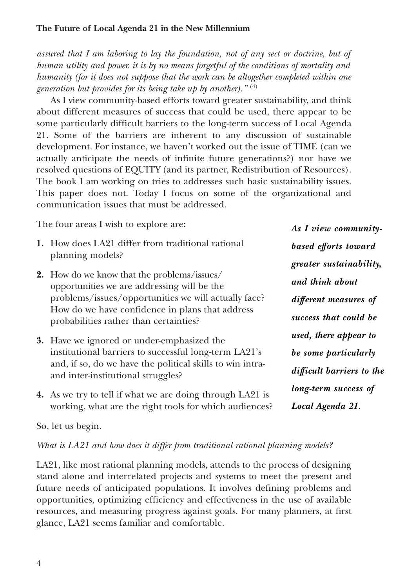*assured that I am laboring to lay the foundation, not of any sect or doctrine, but of human utility and power. it is by no means forgetful of the conditions of mortality and humanity (for it does not suppose that the work can be altogether completed within one generation but provides for its being take up by another)."* (4)

As I view community-based efforts toward greater sustainability, and think about different measures of success that could be used, there appear to be some particularly difficult barriers to the long-term success of Local Agenda 21. Some of the barriers are inherent to any discussion of sustainable development. For instance, we haven't worked out the issue of TIME (can we actually anticipate the needs of infinite future generations?) nor have we resolved questions of EQUITY (and its partner, Redistribution of Resources). The book I am working on tries to addresses such basic sustainability issues. This paper does not. Today I focus on some of the organizational and communication issues that must be addressed.

The four areas I wish to explore are:

- **1.** How does LA21 differ from traditional rational planning models?
- **2.** How do we know that the problems/issues/ opportunities we are addressing will be the problems/issues/opportunities we will actually face? How do we have confidence in plans that address probabilities rather than certainties?
- **3.** Have we ignored or under-emphasized the institutional barriers to successful long-term LA21's and, if so, do we have the political skills to win intraand inter-institutional struggles?
- **4.** As we try to tell if what we are doing through LA21 is working, what are the right tools for which audiences?

*As I view communitybased efforts toward greater sustainability, and think about different measures of success that could be used, there appear to be some particularly difficult barriers to the long-term success of Local Agenda 21.*

So, let us begin.

*What is LA21 and how does it differ from traditional rational planning models?*

LA21, like most rational planning models, attends to the process of designing stand alone and interrelated projects and systems to meet the present and future needs of anticipated populations. It involves defining problems and opportunities, optimizing efficiency and effectiveness in the use of available resources, and measuring progress against goals. For many planners, at first glance, LA21 seems familiar and comfortable.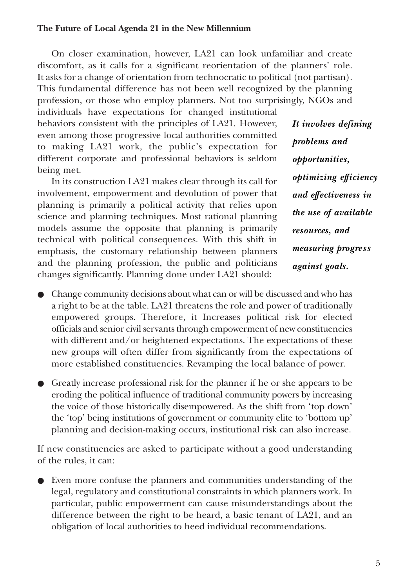On closer examination, however, LA21 can look unfamiliar and create discomfort, as it calls for a significant reorientation of the planners' role. It asks for a change of orientation from technocratic to political (not partisan). This fundamental difference has not been well recognized by the planning profession, or those who employ planners. Not too surprisingly, NGOs and

individuals have expectations for changed institutional behaviors consistent with the principles of LA21. However, even among those progressive local authorities committed to making LA21 work, the public's expectation for different corporate and professional behaviors is seldom being met.

In its construction LA21 makes clear through its call for involvement, empowerment and devolution of power that planning is primarily a political activity that relies upon science and planning techniques. Most rational planning models assume the opposite that planning is primarily technical with political consequences. With this shift in emphasis, the customary relationship between planners and the planning profession, the public and politicians changes significantly. Planning done under LA21 should:

*It involves defining problems and opportunities, optimizing efficiency and effectiveness in the use of available resources, and measuring progress against goals.* 

- Change community decisions about what can or will be discussed and who has a right to be at the table. LA21 threatens the role and power of traditionally empowered groups. Therefore, it Increases political risk for elected officials and senior civil servants through empowerment of new constituencies with different and/or heightened expectations. The expectations of these new groups will often differ from significantly from the expectations of more established constituencies. Revamping the local balance of power.
- Greatly increase professional risk for the planner if he or she appears to be eroding the political influence of traditional community powers by increasing the voice of those historically disempowered. As the shift from 'top down' the 'top' being institutions of government or community elite to 'bottom up' planning and decision-making occurs, institutional risk can also increase.

If new constituencies are asked to participate without a good understanding of the rules, it can:

● Even more confuse the planners and communities understanding of the legal, regulatory and constitutional constraints in which planners work. In particular, public empowerment can cause misunderstandings about the difference between the right to be heard, a basic tenant of LA21, and an obligation of local authorities to heed individual recommendations.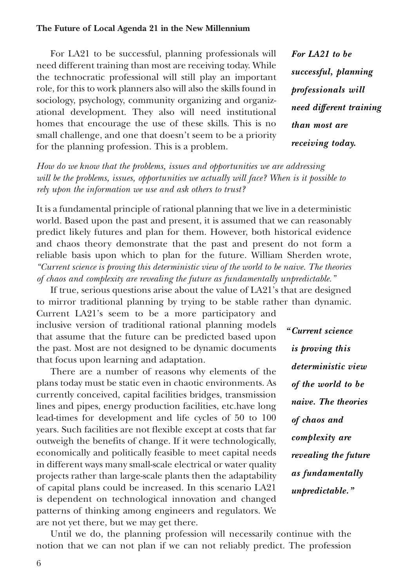For LA21 to be successful, planning professionals will need different training than most are receiving today. While the technocratic professional will still play an important role, for this to work planners also will also the skills found in sociology, psychology, community organizing and organizational development. They also will need institutional homes that encourage the use of these skills. This is no small challenge, and one that doesn't seem to be a priority for the planning profession. This is a problem.

*How do we know that the problems, issues and opportunities we are addressing will be the problems, issues, opportunities we actually will face? When is it possible to rely upon the information we use and ask others to trust?*

It is a fundamental principle of rational planning that we live in a deterministic world. Based upon the past and present, it is assumed that we can reasonably predict likely futures and plan for them. However, both historical evidence and chaos theory demonstrate that the past and present do not form a reliable basis upon which to plan for the future. William Sherden wrote, *"Current science is proving this deterministic view of the world to be naive. The theories of chaos and complexity are revealing the future as fundamentally unpredictable."*

If true, serious questions arise about the value of LA21's that are designed to mirror traditional planning by trying to be stable rather than dynamic. Current LA21's seem to be a more participatory and

inclusive version of traditional rational planning models that assume that the future can be predicted based upon the past. Most are not designed to be dynamic documents that focus upon learning and adaptation.

There are a number of reasons why elements of the plans today must be static even in chaotic environments. As currently conceived, capital facilities bridges, transmission lines and pipes, energy production facilities, etc.have long lead-times for development and life cycles of 50 to 100 years. Such facilities are not flexible except at costs that far outweigh the benefits of change. If it were technologically, economically and politically feasible to meet capital needs in different ways many small-scale electrical or water quality projects rather than large-scale plants then the adaptability of capital plans could be increased. In this scenario LA21 is dependent on technological innovation and changed patterns of thinking among engineers and regulators. We are not yet there, but we may get there.

*For LA21 to be successful, planning professionals will need different training than most are*

*receiving today.*

*"Current science is proving this deterministic view of the world to be naive. The theories of chaos and complexity are revealing the future as fundamentally unpredictable."*

Until we do, the planning profession will necessarily continue with the notion that we can not plan if we can not reliably predict. The profession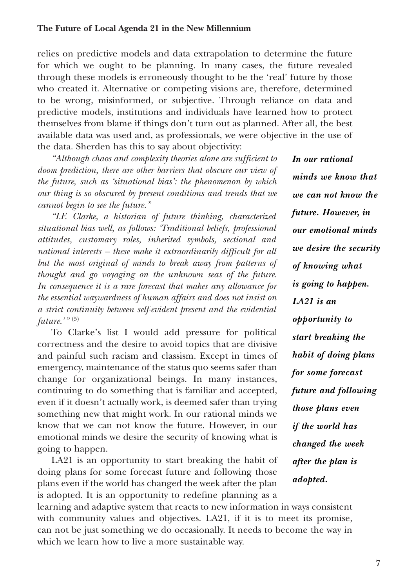relies on predictive models and data extrapolation to determine the future for which we ought to be planning. In many cases, the future revealed through these models is erroneously thought to be the 'real' future by those who created it. Alternative or competing visions are, therefore, determined to be wrong, misinformed, or subjective. Through reliance on data and predictive models, institutions and individuals have learned how to protect themselves from blame if things don't turn out as planned. After all, the best available data was used and, as professionals, we were objective in the use of the data. Sherden has this to say about objectivity:

*"Although chaos and complexity theories alone are sufficient to doom prediction, there are other barriers that obscure our view of the future, such as 'situational bias': the phenomenon by which our thing is so obscured by present conditions and trends that we cannot begin to see the future."*

*"I.F. Clarke, a historian of future thinking, characterized situational bias well, as follows: 'Traditional beliefs, professional attitudes, customary roles, inherited symbols, sectional and national interests – these make it extraordinarily difficult for all but the most original of minds to break away from patterns of thought and go voyaging on the unknown seas of the future. In consequence it is a rare forecast that makes any allowance for the essential waywardness of human affairs and does not insist on a strict continuity between self-evident present and the evidential future.'"* (5)

To Clarke's list I would add pressure for political correctness and the desire to avoid topics that are divisive and painful such racism and classism. Except in times of emergency, maintenance of the status quo seems safer than change for organizational beings. In many instances, continuing to do something that is familiar and accepted, even if it doesn't actually work, is deemed safer than trying something new that might work. In our rational minds we know that we can not know the future. However, in our emotional minds we desire the security of knowing what is going to happen.

LA21 is an opportunity to start breaking the habit of doing plans for some forecast future and following those plans even if the world has changed the week after the plan is adopted. It is an opportunity to redefine planning as a *In our rational minds we know that we can not know the future. However, in our emotional minds we desire the security of knowing what is going to happen. LA21 is an opportunity to start breaking the habit of doing plans for some forecast future and following those plans even if the world has changed the week after the plan is adopted.*

learning and adaptive system that reacts to new information in ways consistent with community values and objectives. LA21, if it is to meet its promise, can not be just something we do occasionally. It needs to become the way in which we learn how to live a more sustainable way.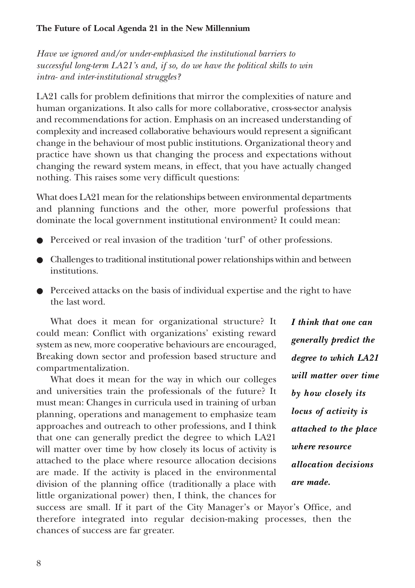*Have we ignored and/or under-emphasized the institutional barriers to successful long-term LA21's and, if so, do we have the political skills to win intra- and inter-institutional struggles?*

LA21 calls for problem definitions that mirror the complexities of nature and human organizations. It also calls for more collaborative, cross-sector analysis and recommendations for action. Emphasis on an increased understanding of complexity and increased collaborative behaviours would represent a significant change in the behaviour of most public institutions. Organizational theory and practice have shown us that changing the process and expectations without changing the reward system means, in effect, that you have actually changed nothing. This raises some very difficult questions:

What does LA21 mean for the relationships between environmental departments and planning functions and the other, more powerful professions that dominate the local government institutional environment? It could mean:

- Perceived or real invasion of the tradition 'turf' of other professions.
- Challenges to traditional institutional power relationships within and between institutions.
- Perceived attacks on the basis of individual expertise and the right to have the last word.

What does it mean for organizational structure? It could mean: Conflict with organizations' existing reward system as new, more cooperative behaviours are encouraged, Breaking down sector and profession based structure and compartmentalization.

What does it mean for the way in which our colleges and universities train the professionals of the future? It must mean: Changes in curricula used in training of urban planning, operations and management to emphasize team approaches and outreach to other professions, and I think that one can generally predict the degree to which LA21 will matter over time by how closely its locus of activity is attached to the place where resource allocation decisions are made. If the activity is placed in the environmental division of the planning office (traditionally a place with little organizational power) then, I think, the chances for

*I think that one can generally predict the degree to which LA21 will matter over time by how closely its locus of activity is attached to the place where resource allocation decisions are made.*

success are small. If it part of the City Manager's or Mayor's Office, and therefore integrated into regular decision-making processes, then the chances of success are far greater.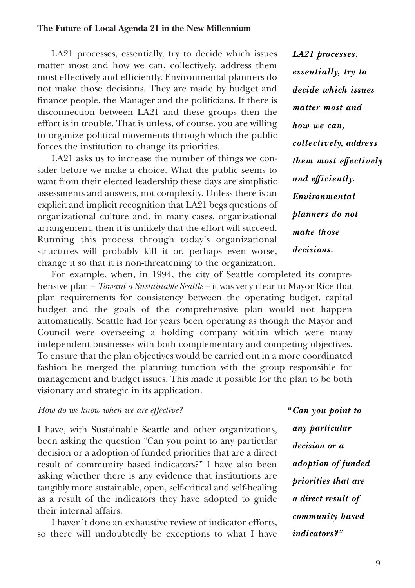LA21 processes, essentially, try to decide which issues matter most and how we can, collectively, address them most effectively and efficiently. Environmental planners do not make those decisions. They are made by budget and finance people, the Manager and the politicians. If there is disconnection between LA21 and these groups then the effort is in trouble. That is unless, of course, you are willing to organize political movements through which the public forces the institution to change its priorities.

LA21 asks us to increase the number of things we consider before we make a choice. What the public seems to want from their elected leadership these days are simplistic assessments and answers, not complexity. Unless there is an explicit and implicit recognition that LA21 begs questions of organizational culture and, in many cases, organizational arrangement, then it is unlikely that the effort will succeed. Running this process through today's organizational structures will probably kill it or, perhaps even worse, change it so that it is non-threatening to the organization.

*LA21 processes, essentially, try to decide which issues matter most and how we can, collectively, address them most effectively and efficiently. Environmental planners do not make those decisions.*

For example, when, in 1994, the city of Seattle completed its comprehensive plan – *Toward a Sustainable Seattle* – it was very clear to Mayor Rice that plan requirements for consistency between the operating budget, capital budget and the goals of the comprehensive plan would not happen automatically. Seattle had for years been operating as though the Mayor and Council were overseeing a holding company within which were many independent businesses with both complementary and competing objectives. To ensure that the plan objectives would be carried out in a more coordinated fashion he merged the planning function with the group responsible for management and budget issues. This made it possible for the plan to be both visionary and strategic in its application.

#### *How do we know when we are effective?*

I have, with Sustainable Seattle and other organizations, been asking the question "Can you point to any particular decision or a adoption of funded priorities that are a direct result of community based indicators?" I have also been asking whether there is any evidence that institutions are tangibly more sustainable, open, self-critical and self-healing as a result of the indicators they have adopted to guide their internal affairs.

I haven't done an exhaustive review of indicator efforts, so there will undoubtedly be exceptions to what I have *"Can you point to any particular decision or a adoption of funded priorities that are a direct result of community based indicators?"*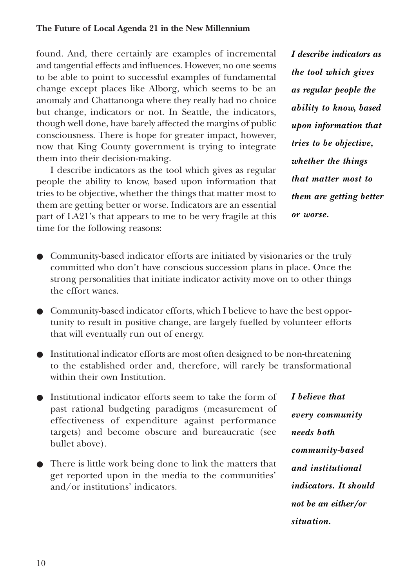found. And, there certainly are examples of incremental and tangential effects and influences. However, no one seems to be able to point to successful examples of fundamental change except places like Alborg, which seems to be an anomaly and Chattanooga where they really had no choice but change, indicators or not. In Seattle, the indicators, though well done, have barely affected the margins of public consciousness. There is hope for greater impact, however, now that King County government is trying to integrate them into their decision-making.

I describe indicators as the tool which gives as regular people the ability to know, based upon information that tries to be objective, whether the things that matter most to them are getting better or worse. Indicators are an essential part of LA21's that appears to me to be very fragile at this time for the following reasons:

*I describe indicators as the tool which gives as regular people the ability to know, based upon information that tries to be objective, whether the things that matter most to them are getting better or worse.*

- Community-based indicator efforts are initiated by visionaries or the truly committed who don't have conscious succession plans in place. Once the strong personalities that initiate indicator activity move on to other things the effort wanes.
- Community-based indicator efforts, which I believe to have the best opportunity to result in positive change, are largely fuelled by volunteer efforts that will eventually run out of energy.
- Institutional indicator efforts are most often designed to be non-threatening to the established order and, therefore, will rarely be transformational within their own Institution.
- Institutional indicator efforts seem to take the form of past rational budgeting paradigms (measurement of effectiveness of expenditure against performance targets) and become obscure and bureaucratic (see bullet above).
- There is little work being done to link the matters that get reported upon in the media to the communities' and/or institutions' indicators.

*I believe that every community needs both community-based and institutional indicators. It should not be an either/or situation.*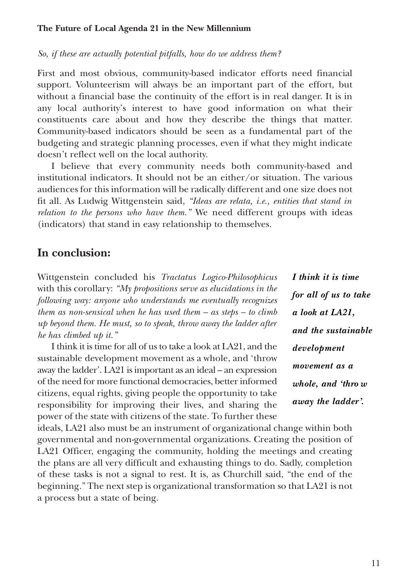*So, if these are actually potential pitfalls, how do we address them?*

First and most obvious, community-based indicator efforts need financial support. Volunteerism will always be an important part of the effort, but without a financial base the continuity of the effort is in real danger. It is in any local authority's interest to have good information on what their constituents care about and how they describe the things that matter. Community-based indicators should be seen as a fundamental part of the budgeting and strategic planning processes, even if what they might indicate doesn't reflect well on the local authority.

I believe that every community needs both community-based and institutional indicators. It should not be an either/or situation. The various audiences for this information will be radically different and one size does not fit all. As Ludwig Wittgenstein said, *"Ideas are relata, i.e., entities that stand in relation to the persons who have them."* We need different groups with ideas (indicators) that stand in easy relationship to themselves.

# **In conclusion:**

Wittgenstein concluded his *Tractatus Logico-Philosophicus* with this corollary: *"My propositions serve as elucidations in the following way: anyone who understands me eventually recognizes them as non-sensical when he has used them – as steps – to climb up beyond them. He must, so to speak, throw away the ladder after he has climbed up it."*

I think it is time for all of us to take a look at LA21, and the sustainable development movement as a whole, and 'throw away the ladder'. LA21 is important as an ideal – an expression of the need for more functional democracies, better informed citizens, equal rights, giving people the opportunity to take responsibility for improving their lives, and sharing the power of the state with citizens of the state. To further these

*I think it is time for all of us to take a look at LA21, and the sustainable development movement as a whole, and 'thro w away the ladder'.*

ideals, LA21 also must be an instrument of organizational change within both governmental and non-governmental organizations. Creating the position of LA21 Officer, engaging the community, holding the meetings and creating the plans are all very difficult and exhausting things to do. Sadly, completion of these tasks is not a signal to rest. It is, as Churchill said, "the end of the beginning." The next step is organizational transformation so that LA21 is not a process but a state of being.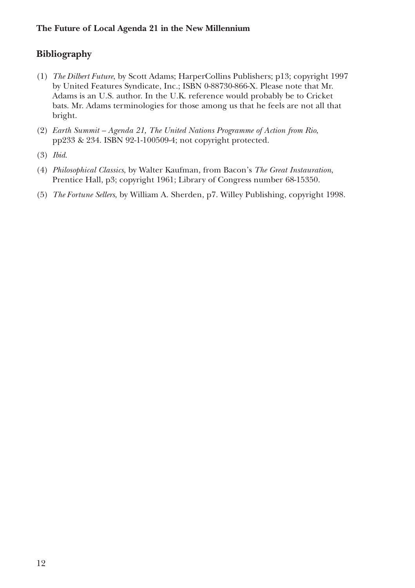# **Bibliography**

- (1) *The Dilbert Future*, by Scott Adams; HarperCollins Publishers; p13; copyright 1997 by United Features Syndicate, Inc.; ISBN 0-88730-866-X. Please note that Mr. Adams is an U.S. author. In the U.K. reference would probably be to Cricket bats. Mr. Adams terminologies for those among us that he feels are not all that bright.
- (2) *Earth Summit Agenda 21, The United Nations Programme of Action from Rio*, pp233 & 234. ISBN 92-1-100509-4; not copyright protected.
- (3) *Ibid*.
- (4) *Philosophical Classics*, by Walter Kaufman, from Bacon's *The Great Instauration*, Prentice Hall, p3; copyright 1961; Library of Congress number 68-15350.
- (5) *The Fortune Sellers*, by William A. Sherden, p7. Willey Publishing, copyright 1998.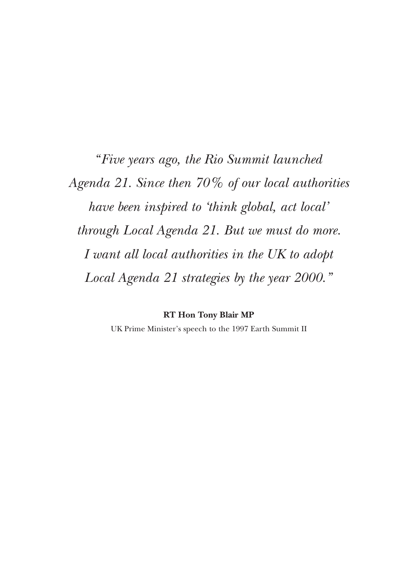*" Five years ago, the Rio Summit launched Agenda 21. Since then 70% of our local authorities have been inspired to 'think global, act local' through Local Agenda 21. But we must do more. I want all local authorities in the UK to adopt Local Agenda 21 strategies by the year 2000."*

> **RT Hon Tony Blair MP** UK Prime Minister's speech to the 1997 Earth Summit II